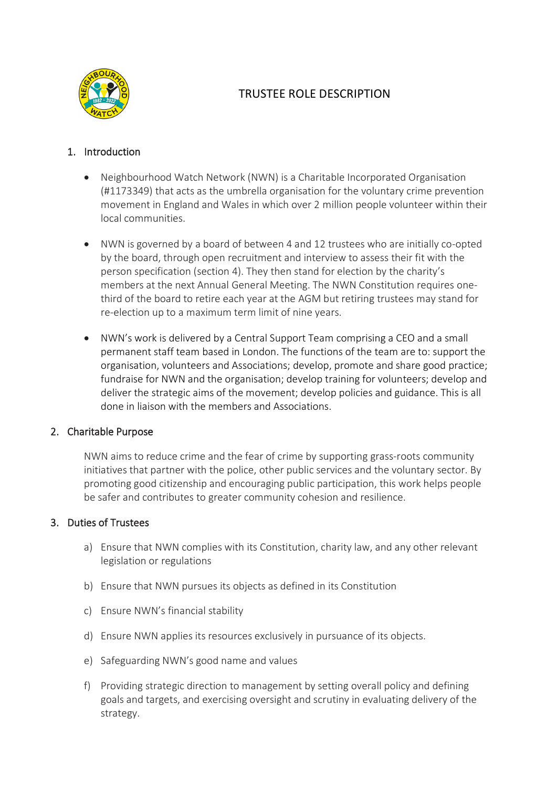

# TRUSTEE ROLE DESCRIPTION

## 1. Introduction

- Neighbourhood Watch Network (NWN) is a Charitable Incorporated Organisation (#1173349) that acts as the umbrella organisation for the voluntary crime prevention movement in England and Wales in which over 2 million people volunteer within their local communities.
- NWN is governed by a board of between 4 and 12 trustees who are initially co-opted by the board, through open recruitment and interview to assess their fit with the person specification (section 4). They then stand for election by the charity's members at the next Annual General Meeting. The NWN Constitution requires onethird of the board to retire each year at the AGM but retiring trustees may stand for re-election up to a maximum term limit of nine years.
- NWN's work is delivered by a Central Support Team comprising a CEO and a small permanent staff team based in London. The functions of the team are to: support the organisation, volunteers and Associations; develop, promote and share good practice; fundraise for NWN and the organisation; develop training for volunteers; develop and deliver the strategic aims of the movement; develop policies and guidance. This is all done in liaison with the members and Associations.

### 2. Charitable Purpose

NWN aims to reduce crime and the fear of crime by supporting grass-roots community initiatives that partner with the police, other public services and the voluntary sector. By promoting good citizenship and encouraging public participation, this work helps people be safer and contributes to greater community cohesion and resilience.

### 3. Duties of Trustees

- a) Ensure that NWN complies with its Constitution, charity law, and any other relevant legislation or regulations
- b) Ensure that NWN pursues its objects as defined in its Constitution
- c) Ensure NWN's financial stability
- d) Ensure NWN applies its resources exclusively in pursuance of its objects.
- e) Safeguarding NWN's good name and values
- f) Providing strategic direction to management by setting overall policy and defining goals and targets, and exercising oversight and scrutiny in evaluating delivery of the strategy.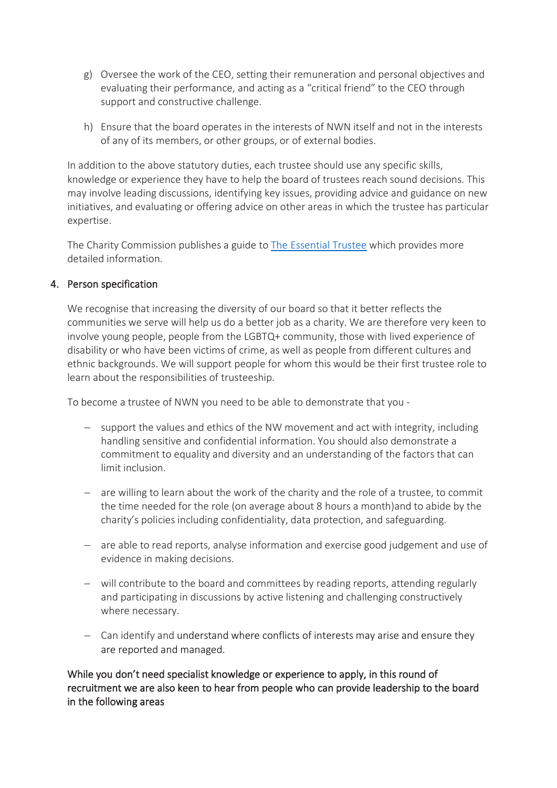- g) Oversee the work of the CEO, setting their remuneration and personal objectives and evaluating their performance, and acting as a "critical friend" to the CEO through support and constructive challenge.
- h) Ensure that the board operates in the interests of NWN itself and not in the interests of any of its members, or other groups, or of external bodies.

In addition to the above statutory duties, each trustee should use any specific skills, knowledge or experience they have to help the board of trustees reach sound decisions. This may involve leading discussions, identifying key issues, providing advice and guidance on new initiatives, and evaluating or offering advice on other areas in which the trustee has particular expertise.

The Charity Commission publishes a guide to [The Essential Trustee](about:blank) which provides more detailed information.

#### 4. Person specification

We recognise that increasing the diversity of our board so that it better reflects the communities we serve will help us do a better job as a charity. We are therefore very keen to involve young people, people from the LGBTQ+ community, those with lived experience of disability or who have been victims of crime, as well as people from different cultures and ethnic backgrounds. We will support people for whom this would be their first trustee role to learn about the responsibilities of trusteeship.

To become a trustee of NWN you need to be able to demonstrate that you -

- − support the values and ethics of the NW movement and act with integrity, including handling sensitive and confidential information. You should also demonstrate a commitment to equality and diversity and an understanding of the factors that can limit inclusion.
- − are willing to learn about the work of the charity and the role of a trustee, to commit the time needed for the role (on average about 8 hours a month)and to abide by the charity's policies including confidentiality, data protection, and safeguarding.
- − are able to read reports, analyse information and exercise good judgement and use of evidence in making decisions.
- − will contribute to the board and committees by reading reports, attending regularly and participating in discussions by active listening and challenging constructively where necessary.
- − Can identify and understand where conflicts of interests may arise and ensure they are reported and managed.

While you don't need specialist knowledge or experience to apply, in this round of recruitment we are also keen to hear from people who can provide leadership to the board in the following areas